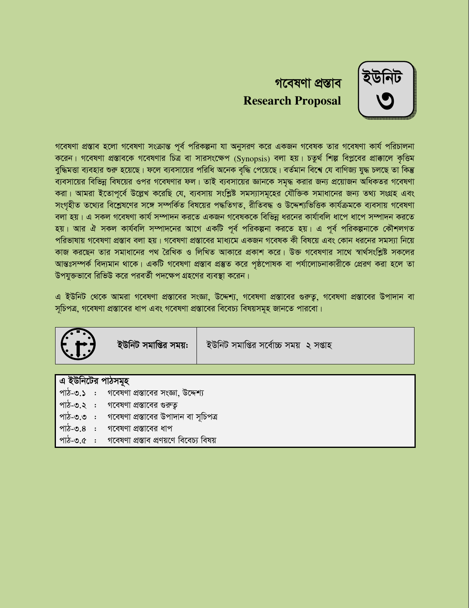

# গবেষণা প্ৰস্তাব **Research Proposal**

গবেষণা প্রস্তাব হলো গবেষণা সংক্রান্ত পূর্ব পরিকল্পনা যা অনুসরণ করে একজন গবেষক তার গবেষণা কার্য পরিচালনা করেন। গবেষণা প্রস্তাবকে গবেষণার চিত্র বা সারসংক্ষেপ (Synopsis) বলা হয়। চতুর্থ শিল্প বিপ্লবের প্রাক্কালে কৃত্তিম বুদ্ধিমত্তা ব্যবহার শুরু হয়েছে। ফলে ব্যবসায়ের পরিধি অনেক বৃদ্ধি পেয়েছে। বর্তমান বিশ্বে যে বাণিজ্য যুদ্ধ চলছে তা কিন্তু ব্যবসায়ের বিভিন্ন বিষয়ের ওপর গবেষণার ফল। তাই ব্যবসায়ের জ্ঞানকে সমৃদ্ধ করার জন্য প্রয়োজন অধিকতর গবেষণা করা। আমরা ইতোপূর্বে উল্লেখ করেছি যে, ব্যবসায় সংশ্লিষ্ট সমস্যাসমূহের যৌক্তিক সমাধানের জন্য তথ্য সংগ্রহ এবং সংগৃহীত তথ্যের বিশ্লেষণের সঙ্গে সম্পর্কিত বিষয়ের পদ্ধতিগত, রীতিবদ্ধ ও উদ্দেশ্যভিত্তিক কার্যক্রমকে ব্যবসায় গবেষণা বলা হয়। এ সকল গবেষণা কার্য সম্পাদন করতে একজন গবেষককে বিভিন্ন ধরনের কার্যাবলি ধাপে ধাপে সম্পাদন করতে হয়। আর ঐ সকল কার্যবলি সম্পাদনের আগে একটি পূর্ব পরিকল্পনা করতে হয়। এ পূর্ব পরিকল্পনাকে কৌশলগত পরিভাষায় গবেষণা প্রস্তাব বলা হয়। গবেষণা প্রস্তাবের মাধ্যমে একজন গবেষক কী বিষয়ে এবং কোন ধরনের সমস্যা নিয়ে কাজ করছেন তার সমাধানের পথ রৈখিক ও লিখিত আকারে প্রকাশ করে। উক্ত গবেষণার সাথে স্বার্থসংশ্লিষ্ট সকলের আন্তঃসম্পৰ্ক বিদ্যমান থাকে। একটি গবেষণা প্ৰস্তাব প্ৰস্তুত করে পৃষ্ঠপোষক বা পর্যালোচনাকারীকে প্রেরণ করা হলে তা উপযুক্তভাবে রিভিউ করে পরবর্তী পদক্ষেপ গ্রহণের ব্যবস্থা করেন।

এ ইউনিট থেকে আমরা গবেষণা প্রস্তাবের সংজ্ঞা, উদ্দেশ্য, গবেষণা প্রস্তাবের গুরুতু, গবেষণা প্রস্তাবের উপাদান বা সূচিপত্র, গবেষণা প্রস্তাবের ধাপ এবং গবেষণা প্রস্তাবের বিবেচ্য বিষয়সমূহ জানতে পারবো।

|                   | ইউনিট সমাপ্তির সময়:                                                     | ইউনিট সমাপ্তির সর্বোচ্চ সময় ২ সপ্তাহ |  |  |  |  |
|-------------------|--------------------------------------------------------------------------|---------------------------------------|--|--|--|--|
|                   |                                                                          |                                       |  |  |  |  |
| এ ইউনিটের পাঠসমূহ |                                                                          |                                       |  |  |  |  |
|                   | <sub>।</sub> পাঠ- <b>৩.১    :     গবেষণা প্রস্তাবের সংজ্ঞা, উদ্দেশ্য</b> |                                       |  |  |  |  |
|                   | <sub>।</sub> পাঠ- <b>৩</b> .২   :     গবেষণা প্রস্তাবের গুরুতু           |                                       |  |  |  |  |

- পাঠ-৩.৩ : গবেষণা প্রস্তাবের উপাদান বা সচিপত্র
- পাঠ-৩.৪ : গবেষণা প্রস্তাবের ধাপ
- পাঠ-৩.৫ : গবেষণা প্ৰস্তাব প্ৰণয়ণে বিবেচ্য বিষয়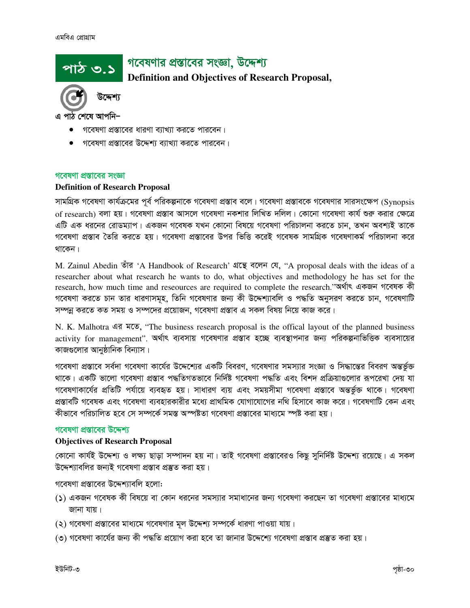# গবেষণার প্রস্তাবের সংজ্ঞা, উদ্দেশ্য

**Definition and Objectives of Research Proposal,** 



পাঠ ৩.১

এ পাঠ শেষে আপনি–

- গবেষণা প্রস্তাবের ধারণা ব্যাখ্যা করতে পারবেন।
- গবেষণা প্রস্তাবের উদ্দেশ্য ব্যাখ্যা করতে পারবেন।

#### গবেষণা প্রস্তাবের সংজ্ঞা

#### **Definition of Research Proposal**

সামগ্রিক গবেষণা কার্যক্রমের পূর্ব পরিকল্পনাকে গবেষণা প্রস্তাব বলে। গবেষণা প্রস্তাবকে গবেষণার সারসংক্ষেপ (Synopsis of research) বলা হয়। গবেষণা প্রস্তাব আসলে গবেষণা নকশার লিখিত দলিল। কোনো গবেষণা কার্য শুরু করার ক্ষেত্রে এটি এক ধরনের রোডম্যাপ। একজন গবেষক যখন কোনো বিষয়ে গবেষণা পরিচালনা করতে চান, তখন অবশ্যই তাকে গবেষণা প্রস্তাব তৈরি করতে হয়। গবেষণা প্রস্তাবের উপর ভিত্তি করেই গবেষক সামগ্রিক গবেষণাকর্ম পরিচালনা করে থাকেন।

M. Zainul Abedin তাঁর 'A Handbook of Research' গ্রন্থে বলেন যে, "A proposal deals with the ideas of a researcher about what research he wants to do, what objectives and methodology he has set for the research, how much time and reseources are required to complete the research."অৰ্থাৎ একজন গবেষক কী গবেষণা করতে চান তার ধারণাসমূহ, তিনি গবেষণার জন্য কী উদ্দেশ্যাবলি ও পদ্ধতি অনুসরণ করতে চান, গবেষণাটি সম্পন্ন করতে কত সময় ও সম্পদের প্রয়োজন, গবেষণা প্রস্তাব এ সকল বিষয় নিয়ে কাজ করে।

N. K. Malhotra 43 NO, "The business research proposal is the offical layout of the planned business activity for management". অর্থাৎ ব্যবসায় গবেষণার প্রস্তাব হচ্ছে ব্যবস্থাপনার জন্য পরিকল্পনাভিত্তিক ব্যবসায়ের কাজগুলোর আনুষ্ঠানিক বিন্যাস।

গবেষণা প্রস্তাবে সর্বদা গবেষণা কার্যের উদ্দেশ্যের একটি বিবরণ, গবেষণার সমস্যার সংজ্ঞা ও সিদ্ধান্তের বিবরণ অন্তর্ভুক্ত থাকে। একটি ভালো গবেষণা প্রস্তাব পদ্ধতিগতভাবে নির্দিষ্ট গবেষণা পদ্ধতি এবং বিশদ প্রক্রিয়াণ্ডলোর রূপরেখা দেয় যা গবেষণাকার্যের প্রতিটি পর্যায়ে ব্যবহৃত হয়। সাধারণ ব্যয় এবং সময়সীমা গবেষণা প্রস্তাবে অন্তর্ভুক্ত থাকে। গবেষণা প্রস্তাবটি গবেষক এবং গবেষণা ব্যবহারকারীর মধ্যে প্রাথমিক যোগাযোগের নথি হিসাবে কাজ করে। গবেষণাটি কেন এবং কীভাবে পরিচালিত হবে সে সম্পর্কে সমস্ত অস্পষ্টতা গবেষণা প্রস্তাবের মাধ্যমে স্পষ্ট করা হয়।

# গবেষণা প্রস্তাবের উদ্দেশ্য

#### **Objectives of Research Proposal**

কোনো কার্যই উদ্দেশ্য ও লক্ষ্য ছাড়া সম্পাদন হয় না। তাই গবেষণা প্রস্তাবেরও কিছু সুনির্দিষ্ট উদ্দেশ্য রয়েছে। এ সকল উদ্দেশ্যাবলির জন্যই গবেষণা প্রস্তাব প্রস্তুত করা হয়।

গবেষণা প্রস্তাবের উদ্দেশ্যাবলি হলো:

- (১) একজন গবেষক কী বিষয়ে বা কোন ধরনের সমস্যার সমাধানের জন্য গবেষণা করছেন তা গবেষণা প্রস্তাবের মাধ্যমে জানা যায়।
- (২) গবেষণা প্রস্তাবের মাধ্যমে গবেষণার মূল উদ্দেশ্য সম্পর্কে ধারণা পাওয়া যায়।
- (৩) গবেষণা কার্যের জন্য কী পদ্ধতি প্রয়োগ করা হবে তা জানার উদ্দেশ্যে গবেষণা প্রস্তাব প্রস্তুত করা হয়।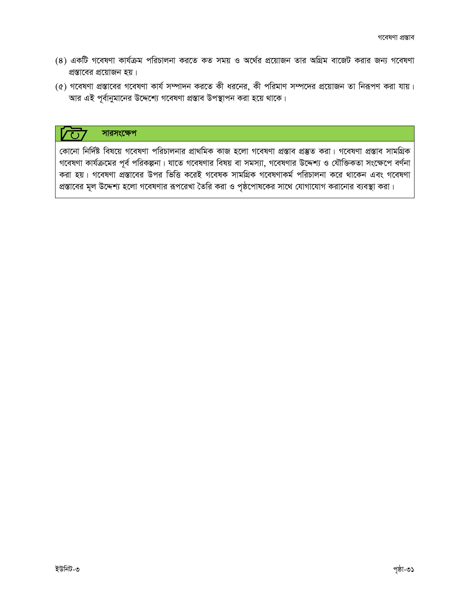- (৪) একটি গবেষণা কার্যক্রম পরিচালনা করতে কত সময় ও অর্থের প্রয়োজন তার অগ্রিম বাজেট করার জন্য গবেষণা প্রস্তাবের প্রয়োজন হয়।
- (৫) গবেষণা প্রস্তাবের গবেষণা কার্য সম্পাদন করতে কী ধরনের, কী পরিমাণ সম্পদের প্রয়োজন তা নিরূপণ করা যায়। আর এই পূর্বানুমানের উদ্দেশ্যে গবেষণা প্রস্তাব উপস্থাপন করা হয়ে থাকে।

#### সারসংক্ষেপ  $\overline{C}$

কোনো নির্দিষ্ট বিষয়ে গবেষণা পরিচালনার প্রাথমিক কাজ হলো গবেষণা প্রস্তাব প্রস্তুত করা। গবেষণা প্রস্তাব সামগ্রিক গবেষণা কার্যক্রমের পূর্ব পরিকল্পনা। যাতে গবেষণার বিষয় বা সমস্যা, গবেষণার উদ্দেশ্য ও যৌক্তিকতা সংক্ষেপে বর্ণনা করা হয়। গবেষণা প্রস্তাবের উপর ভিত্তি করেই গবেষক সামগ্রিক গবেষণাকর্ম পরিচালনা করে থাকেন এবং গবেষণা প্রস্তাবের মূল উদ্দেশ্য হলো গবেষণার রূপরেখা তৈরি করা ও পৃষ্ঠপোষকের সাথে যোগাযোগ করানোর ব্যবস্থা করা।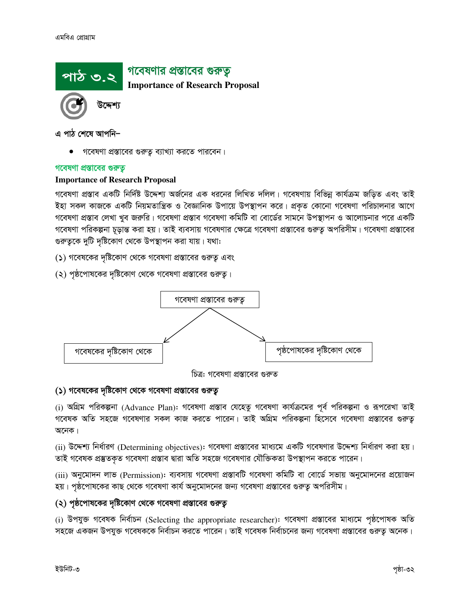

এ পাঠ শেষে আপনি–

গবেষণা প্রস্তাবের গুরুতু ব্যাখ্যা করতে পারবেন।

# গবেষণা প্রস্তাবের গুরুত্ব

# **Importance of Research Proposal**

গবেষণা প্রস্তাব একটি নির্দিষ্ট উদ্দেশ্য অর্জনের এক ধরনের লিখিত দলিল। গবেষণায় বিভিন্ন কার্যক্রম জড়িত এবং তাই ইহা সকল কাজকে একটি নিয়মতান্ত্রিক ও বৈজ্ঞানিক উপায়ে উপস্থাপন করে। প্রকৃত কোনো গবেষণা পরিচালনার আগে গবেষণা প্রস্তাব লেখা খুব জরুরি। গবেষণা প্রস্তাব গবেষণা কমিটি বা বোর্ডের সামনে উপস্থাপন ও আলোচনার পরে একটি গবেষণা পরিকল্পনা চূড়ান্ত করা হয়। তাই ব্যবসায় গবেষণার ক্ষেত্রে গবেষণা প্রস্তাবের গুরুতু অপরিসীম। গবেষণা প্রস্তাবের গুরুতুকে দুটি দৃষ্টিকোণ থেকে উপস্থাপন করা যায়। যথা:

(১) গবেষকের দৃষ্টিকোণ থেকে গবেষণা প্রস্তাবের গুরুতূ এবং

(২) পৃষ্ঠপোষকের দৃষ্টিকোণ থেকে গবেষণা প্রস্তাবের গুরুত্ব।



চিত্র: গবেষণা প্রস্তাবের গুরুত

# (১) গবেষকের দৃষ্টিকোণ থেকে গবেষণা প্রস্তাবের গুরুত্ব

(i) অগ্রিম পরিকল্পনা (Advance Plan): গবেষণা প্রস্তাব যেহেতু গবেষণা কার্যক্রমের পূর্ব পরিকল্পনা ও রূপরেখা তাই গবেষক অতি সহজে গবেষণার সকল কাজ করতে পারেন। তাই অগ্রিম পরিকল্পনা হিসেবে গবেষণা প্রস্তাবের গুরুতূ অনেক।

(ii) উদ্দেশ্য নির্ধারণ (Determining objectives): গবেষণা প্রস্তাবের মাধ্যমে একটি গবেষণার উদ্দেশ্য নির্ধারণ করা হয়। তাই গবেষক প্রস্তুতকৃত গবেষণা প্রস্তাব দ্বারা অতি সহজে গবেষণার যৌক্তিকতা উপস্থাপন করতে পারেন।

(iii) অনুমোদন লাভ (Permission): ব্যবসায় গবেষণা প্রস্তাবটি গবেষণা কমিটি বা বোর্ডে সভায় অনুমোদনের প্রয়োজন হয়। পৃষ্ঠপোষকের কাছ থেকে গবেষণা কার্য অনুমোদনের জন্য গবেষণা প্রস্তাবের গুরুত্ব অপরিসীম।

# (২) পৃষ্ঠপোষকের দৃষ্টিকোণ থেকে গবেষণা প্রস্তাবের গুরুতূ

(i) উপযুক্ত গবেষক নিৰ্বাচন (Selecting the appropriate researcher): গবেষণা প্ৰস্তাবের মাধ্যমে পৃষ্ঠপোষক অতি সহজে একজন উপযুক্ত গবেষককে নির্বাচন করতে পারেন। তাই গবেষক নির্বাচনের জন্য গবেষণা প্রস্তাবের গুরুতু অনেক।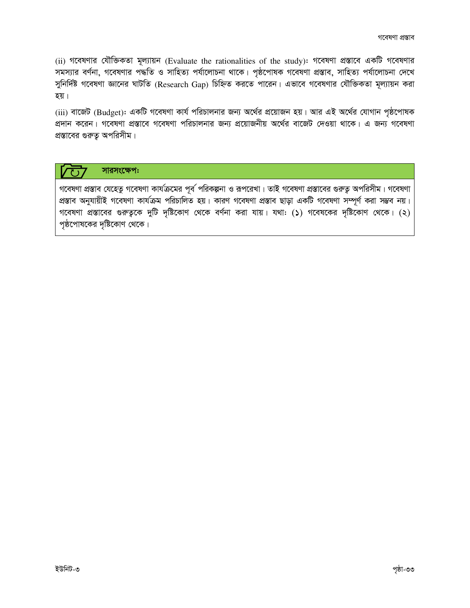$(i)$  গবেষণার যৌক্তিকতা মূল্যায়ন (Evaluate the rationalities of the study): গবেষণা প্রস্তাবে একটি গবেষণার সমস্যার বর্ণনা, গবেষণার পদ্ধতি ও সাহিত্য পর্যালোচনা থাকে। পৃষ্ঠপোষক গবেষণা প্রস্তাব, সাহিত্য পর্যালোচনা দেখে সুনির্দিষ্ট গবেষণা জ্ঞানের ঘাটতি (Research Gap) চিহ্নিত করতে পারেন। এভাবে গবেষণার যৌক্তিকতা মূল্যায়ন করা হয়।

(iii) বাজেট (Budget): একটি গবেষণা কার্য পরিচালনার জন্য অর্থের প্রয়োজন হয়। আর এই অর্থের যোগান পৃষ্ঠপোষক প্রদান করেন। গবেষণা প্রস্তাবে গবেষণা পরিচালনার জন্য প্রয়োজনীয় অর্থের বাজেট দেওয়া থাকে। এ জন্য গবেষণা প্রস্তাবের গুরুত অপরিসীম।

# সারসংক্ষেপ:

গবেষণা প্রস্তাব যেহেতু গবেষণা কার্যক্রমের পূর্ব পরিকল্পনা ও রূপরেখা। তাই গবেষণা প্রস্তাবের গুরুত্ব অপরিসীম। গবেষণা প্রস্তাব অনুযায়ীই গবেষণা কার্যক্রম পরিচালিত হয়। কারণ গবেষণা প্রস্তাব ছাড়া একটি গবেষণা সম্পূর্ণ করা সম্ভব নয়। গবেষণা প্রস্তাবের গুরুত্বকে দুটি দৃষ্টিকোণ থেকে বর্ণনা করা যায়। যথা: (১) গবেষকের দৃষ্টিকোণ থেকে। (২) পৃষ্ঠপোষকের দৃষ্টিকোণ থেকে।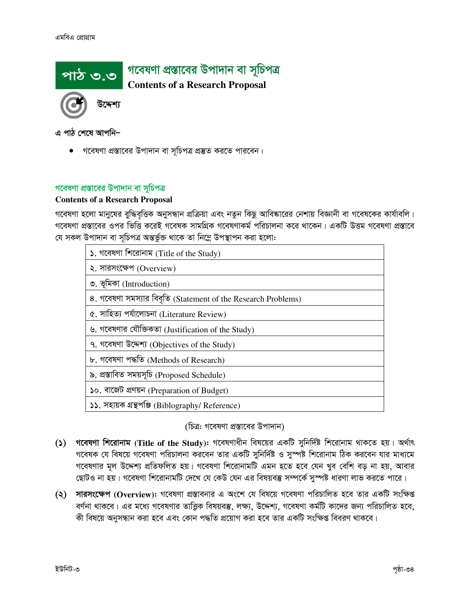

এ পাঠ শেষে আপনি–

● গবেষণা প্রস্তাবের উপাদান বা সূচিপত্র প্রস্তুত করতে পারবেন।

# গবেষণা প্রস্তাবের উপাদান বা সূচিপত্র

# **Contents of a Research Proposal**

গবেষণা হলো মানুষের বুদ্ধিবৃত্তিক অনুসন্ধান প্রক্রিয়া এবং নতুন কিছু আবিষ্কারের নেশায় বিজ্ঞানী বা গবেষকের কার্যাবলি। গবেষণা প্রস্তাবের ওপর ভিত্তি করেই গবেষক সামগ্রিক গবেষণাকর্ম পরিচালনা করে থাকেন। একটি উত্তম গবেষণা প্রস্তাবে যে সকল উপাদান বা সূচিপত্র অন্তর্ভুক্ত থাকে তা নিম্নে উপস্থাপন করা হলো:

| ১. গবেষণা শিরোনাম (Title of the Study)                        |
|---------------------------------------------------------------|
| ২. সারসংক্ষেপ (Overview)                                      |
| ৩. ভূমিকা (Introduction)                                      |
| 8. গবেষণা সমস্যার বিবৃতি (Statement of the Research Problems) |
| ৫. সাহিত্য পৰ্যালোচনা (Literature Review)                     |
| ৬. গবেষণার যৌক্তিকতা (Justification of the Study)             |
| ৭. গবেষণা উদ্দেশ্য (Objectives of the Study)                  |
| ৮. গবেষণা পদ্ধতি (Methods of Research)                        |
| ৯. প্ৰস্তাবিত সময়সূচি (Proposed Schedule)                    |
| ১০. বাজেট প্ৰণয়ন (Preparation of Budget)                     |
| ১১. সহায়ক গ্ৰন্থপঞ্জি (Biblography/ Reference)               |

(চিত্র: গবেষণা প্রস্তাবের উপাদান)

- গবেষণা শিরোনাম (Title of the Study): গবেষণাধীন বিষয়ের একটি সুনির্দিষ্ট শিরোনাম থাকতে হয়। অর্থাৎ  $\mathcal{L}(\mathcal{L})$ গবেষক যে বিষয়ে গবেষণা পরিচালনা করবেন তার একটি সুনির্দিষ্ট ও সুস্পষ্ট শিরোনাম ঠিক করবেন যার মাধ্যমে গবেষণার মূল উদ্দেশ্য প্রতিফলিত হয়। গবেষণা শিরোনামটি এমন হতে হবে যেন খুব বেশি বড় না হয়, আবার ছোটও না হয়। গবেষণা শিরোনামটি দেখে যে কেউ যেন এর বিষয়বস্তু সম্পর্কে সস্পষ্ট ধারণা লাভ করতে পারে।
- (২) সারসংক্ষেপ (Overview): গবেষণা প্রস্তাবনার এ অংশে যে বিষয়ে গবেষণা পরিচালিত হবে তার একটি সংক্ষিপ্ত বর্ণনা থাকবে। এর মধ্যে গবেষণার তাত্ত্বিক বিষয়বস্তু, লক্ষ্য, উদ্দেশ্য, গবেষণা কর্মটি কাদের জন্য পরিচালিত হবে, কী বিষয়ে অনুসন্ধান করা হবে এবং কোন পদ্ধতি প্রয়োগ করা হবে তার একটি সংক্ষিপ্ত বিবরণ থাকবে।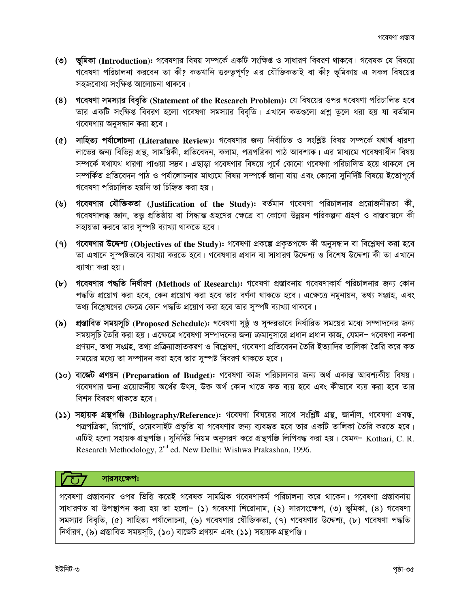- (৩) ভূমিকা (Introduction): গবেষণার বিষয় সম্পর্কে একটি সংক্ষিপ্ত ও সাধারণ বিবরণ থাকবে। গবেষক যে বিষয়ে গবেষণা পরিচালনা করবেন তা কী? কতখানি গুরুতৃপূর্ণ? এর যৌক্তিকতাই বা কী? ভূমিকায় এ সকল বিষয়ের সহজবোধ্য সংক্ষিপ্ত আলোচনা থাকবে।
- (8) গবেষণা সমস্যার বিবৃতি (Statement of the Research Problem): যে বিষয়ের ওপর গবেষণা পরিচালিত হবে তার একটি সংক্ষিপ্ত বিবরণ হলো গবেষণা সমস্যার বিবৃতি। এখানে কতগুলো প্রশ্ন তুলে ধরা হয় যা বর্তমান গবেষণায় অনুসন্ধান করা হবে।
- (৫) সাহিত্য পর্যালোচনা (Literature Review): গবেষণার জন্য নির্বাচিত ও সংশ্লিষ্ট বিষয় সম্পর্কে যথার্থ ধারণা লাভের জন্য বিভিন্ন গ্রন্থ, সাময়িকী, প্রতিবেদন, কলাম, পত্রপত্রিকা পাঠ আবশ্যক। এর মাধ্যমে গবেষণাধীন বিষয় সম্পর্কে যথাযথ ধারণা পাওয়া সম্ভব। এছাড়া গবেষণার বিষয়ে পূর্বে কোনো গবেষণা পরিচালিত হয়ে থাকলে সে সম্পর্কিত প্রতিবেদন পাঠ ও পর্যালোচনার মাধ্যমে বিষয় সম্পর্কে জানা যায় এবং কোনো সুনির্দিষ্ট বিষয়ে ইতোপূর্বে গবেষণা পরিচালিত হয়নি তা চিহ্নিত করা হয়।
- (৬) গবেষণার যৌক্তিকতা (Justification of the Study): বর্তমান গবেষণা পরিচালনার প্রয়োজনীয়তা কী, গবেষণালব্ধ জ্ঞান, তত্তু প্রতিষ্ঠায় বা সিদ্ধান্ত গ্রহণের ক্ষেত্রে বা কোনো উন্নয়ন পরিকল্পনা গ্রহণ ও বাস্তবায়নে কী সহায়তা করবে তার সুস্পষ্ট ব্যাখ্যা থাকতে হবে।
- (9) গৱেষণার উদ্দেশ্য (Objectives of the Study): গবেষণা প্রকল্পে প্রকৃতপক্ষে কী অনুসন্ধান বা বিশ্লেষণ করা হবে তা এখানে সুস্পষ্টভাবে ব্যাখ্যা করতে হবে। গবেষণার প্রধান বা সাধারণ উদ্দেশ্য ও বিশেষ উদ্দেশ্য কী তা এখানে ব্যাখ্যা করা হয়।
- (৮) গবেষণার পদ্ধতি নির্ধারণ (Methods of Research): গবেষণা প্রস্তাবনায় গবেষণাকার্য পরিচালনার জন্য কোন পদ্ধতি প্রয়োগ করা হবে, কেন প্রয়োগ করা হবে তার বর্ণনা থাকতে হবে। এক্ষেত্রে নমুনায়ন, তথ্য সংগ্রহ, এবং তথ্য বিশ্লেষণের ক্ষেত্রে কোন পদ্ধতি প্রয়োগ করা হবে তার সুস্পষ্ট ব্যাখ্যা থাকবে।
- (৯) প্রস্তাবিত সময়সূচি (Proposed Schedule): গবেষণা সুষ্ঠূ ও সুন্দরভাবে নির্ধারিত সময়ের মধ্যে সম্পাদনের জন্য সময়সূচি তৈরি করা হয়। এক্ষেত্রে গবেষণা সম্পাদনের জন্য ক্রমানুসারে প্রধান প্রধান কাজ, যেমন– গবেষণা নকশা প্রণয়ন, তথ্য সংগ্রহ, তথ্য প্রক্রিয়াজাতকরণ ও বিশ্লেষণ, গবেষণা প্রতিবেদন তৈরি ইত্যাদির তালিকা তৈরি করে কত সময়ের মধ্যে তা সম্পাদন করা হবে তার সস্পষ্ট বিবরণ থাকতে হবে।
- (১০) বাজেট প্রণয়ন (Preparation of Budget): গবেষণা কাজ পরিচালনার জন্য অর্থ একান্ত আবশ্যকীয় বিষয়। গবেষণার জন্য প্রয়োজনীয় অর্থের উৎস, উক্ত অর্থ কোন খাতে কত ব্যয় হবে এবং কীভাবে ব্যয় করা হবে তার বিশদ বিবরণ থাকতে হবে।
- (১১) সহায়ক গ্রন্থপঞ্জি (Biblography/Reference): গবেষণা বিষয়ের সাথে সংশ্লিষ্ট গ্রন্থ, জার্নাল, গবেষণা প্রবন্ধ, পত্রপত্রিকা, রিপোর্ট, ওয়েবসাইট প্রভৃতি যা গবেষণার জন্য ব্যবহৃত হবে তার একটি তালিকা তৈরি করতে হবে। এটিই হলো সহায়ক গ্রন্থপঞ্জি। সুনির্দিষ্ট নিয়ম অনুসরণ করে গ্রন্থপঞ্জি লিপিবদ্ধ করা হয়। যেমন- Kothari, C. R. Research Methodology, 2<sup>nd</sup> ed. New Delhi: Wishwa Prakashan, 1996.

# সারসংক্ষেপ:

গবেষণা প্রস্তাবনার ওপর ভিত্তি করেই গবেষক সামগ্রিক গবেষণাকর্ম পরিচালনা করে থাকেন। গবেষণা প্রস্তাবনায় সাধারণত যা উপস্থাপন করা হয় তা হলো- (১) গবেষণা শিরোনাম, (২) সারসংক্ষেপ, (৩) ভূমিকা, (৪) গবেষণা সমস্যার বিবৃতি, (৫) সাহিত্য পর্যালোচনা, (৬) গবেষণার যৌক্তিকতা, (৭) গবেষণার উদ্দেশ্য, (৮) গবেষণা পদ্ধতি নিৰ্ধারণ, (৯) প্রস্তাবিত সময়সূচি, (১০) বাজেট প্রণয়ন এবং (১১) সহায়ক গ্রন্থপঞ্জি।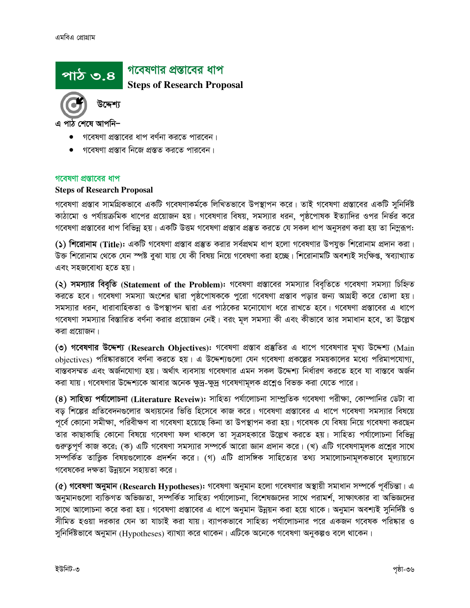# পাঠ ৩.৪

# গবেষণার প্রস্তাবের ধাপ

**Steps of Research Proposal** 

এ পাঠ শেষে আপনি–

- গবেষণা প্রস্তাবের ধাপ বর্ণনা করতে পারবেন।
- গবেষণা প্রস্তাব নিজে প্রস্তত করতে পারবেন।

# গবেষণা প্রস্তাবের ধাপ

# **Steps of Research Proposal**

গবেষণা প্রস্তাব সামগ্রিকভাবে একটি গবেষণাকর্মকে লিখিতভাবে উপস্থাপন করে। তাই গবেষণা প্রস্তাবের একটি সুনির্দিষ্ট কাঠামো ও পর্যায়ক্রমিক ধাপের প্রয়োজন হয়। গবেষণার বিষয়, সমস্যার ধরন, পৃষ্ঠপোষক ইত্যাদির ওপর নির্ভর করে গবেষণা প্রস্তাবের ধাপ বিভিন্ন হয়। একটি উত্তম গবেষণা প্রস্তাব প্রস্তুত করতে যে সকল ধাপ অনুসরণ করা হয় তা নিমুরূপ:

(১) শিরোনাম (Title): একটি গবেষণা প্রস্তাব প্রস্তুত করার সর্বপ্রথম ধাপ হলো গবেষণার উপযুক্ত শিরোনাম প্রদান করা। উক্ত শিরোনাম থেকে যেন স্পষ্ট বুঝা যায় যে কী বিষয় নিয়ে গবেষণা করা হচ্ছে। শিরোনামটি অবশ্যই সংক্ষিপ্ত, স্বব্যাখ্যাত এবং সহজবোধ্য হতে হয়।

(২) সমস্যার বিবৃতি (Statement of the Problem): গবেষণা প্রস্তাবের সমস্যার বিবৃতিতে গবেষণা সমস্যা চিহ্নিত করতে হবে। গবেষণা সমস্যা অংশের দ্বারা পৃষ্ঠপোষককে পুরো গবেষণা প্রস্তাব পড়ার জন্য আগ্রহী করে তোলা হয়। সমস্যার ধরন, ধারাবাহিকতা ও উপস্থাপন দ্বারা এর পাঠকের মনোযোগ ধরে রাখতে হবে। গবেষণা প্রস্তাবের এ ধাপে গবেষণা সমস্যার বিস্তারিত বর্ণনা করার প্রয়োজন নেই। বরং মূল সমস্যা কী এবং কীভাবে তার সমাধান হবে, তা উল্লেখ করা প্রয়োজন।

(৩) গবেষণার উদ্দেশ্য (Research Objectives): গবেষণা প্রস্তাব প্রস্তুতির এ ধাপে গবেষণার মূখ্য উদ্দেশ্য (Main obiectives) পরিষ্কারভাবে বর্ণনা করতে হয়। এ উদ্দেশ্যগুলো যেন গবেষণা প্রকল্পের সময়কালের মধ্যে পরিমাপযোগ্য, বাস্তবসম্মত এবং অর্জনযোগ্য হয়। অর্থাৎ ব্যবসায় গবেষণার এমন সকল উদ্দেশ্য নির্ধারণ করতে হবে যা বাস্তবে অর্জন করা যায়। গবেষণার উদ্দেশ্যকে আবার অনেক ক্ষুদ্র-ক্ষুদ্র গবেষণামূলক প্রশ্নেও বিভক্ত করা যেতে পারে।

(8) সাহিত্য পর্যালোচনা (Literature Reveiw): সাহিত্য পর্যালোচনা সাম্প্রতিক গবেষণা পরীক্ষা, কোম্পানির ডেটা বা বড় শিল্পের প্রতিবেদনগুলোর অধ্যয়নের ভিত্তি হিসেবে কাজ করে। গবেষণা প্রস্তাবের এ ধাপে গবেষণা সমস্যার বিষয়ে পর্বে কোনো সমীক্ষা, পরিবীক্ষণ বা গবেষণা হয়েছে কিনা তা উপস্থাপন করা হয়। গবেষক যে বিষয় নিয়ে গবেষণা করছেন তার কাছাকাছি কোনো বিষয়ে গবেষণা ফল থাকলে তা সূত্রসহকারে উল্লেখ করতে হয়। সাহিত্য পর্যালোচনা বিভিন্ন গুরুতুপূর্ণ কাজ করে; (ক) এটি গবেষণা সমস্যার সম্পর্কে আরো জ্ঞান প্রদান করে। (খ) এটি গবেষণামূলক প্রশ্লের সাথে সম্পর্কিত তাত্তিক বিষয়গুলোকে প্রদর্শন করে। (গ) এটি প্রাসঙ্গিক সাহিত্যের তথ্য সমালোচনামূলকভাবে মূল্যায়নে গবেষকের দক্ষতা উন্নয়নে সহায়তা করে।

 $(c)$  গবেষণা অনুমান (Research Hypotheses): গবেষণা অনুমান হলো গবেষণার অস্থায়ী সমাধান সম্পর্কে পূর্বচিন্তা। এ অনুমানগুলো ব্যক্তিগত অভিজ্ঞতা, সম্পর্কিত সাহিত্য পর্যালোচনা, বিশেষজ্ঞদের সাথে পরামর্শ, সাক্ষাৎকার বা অভিজ্ঞদের সাথে আলোচনা করে করা হয়। গবেষণা প্রস্তাবের এ ধাপে অনুমান উন্নয়ন করা হয়ে থাকে। অনুমান অবশ্যই সুনির্দিষ্ট ও সীমিত হওয়া দরকার যেন তা যাচাই করা যায়। ব্যাপকভাবে সাহিত্য পর্যালোচনার পরে একজন গবেষক পরিষ্কার ও সুনির্দিষ্টভাবে অনুমান (Hypotheses) ব্যাখ্যা করে থাকেন। এটিকে অনেকে গবেষণা অনুকল্পও বলে থাকেন।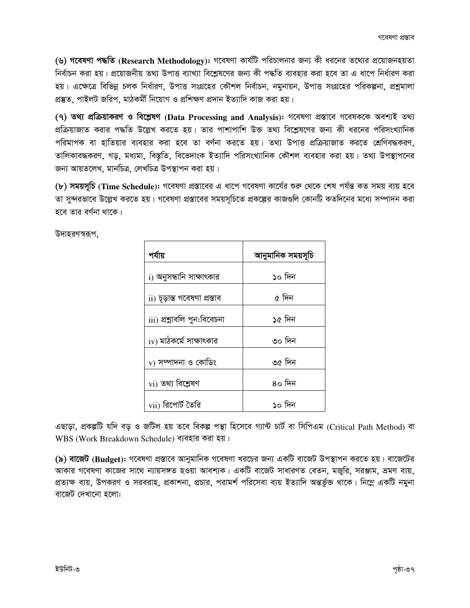(৬) গ**বেষণা পদ্ধতি (Research Methodology):** গবেষণা কার্যটি পরিচালনার জন্য কী ধরনের তথ্যের প্রয়োজনহয়তা নির্বাচন করা হয়। প্রয়োজনীয় তথ্য উপাত্ত ব্যাখ্যা বিশ্লেষণের জন্য কী পদ্ধতি ব্যবহার করা হবে তা এ ধাপে নির্ধারণ করা হয়। এক্ষেত্রে বিভিন্ন চলক নির্ধারণ, উপাত্ত সংগ্রহের কৌশল নির্বাচন, নমুনায়ন, উপাত্ত সংগ্রহের পরিকল্পনা, প্রশ্নমালা প্ৰস্তুত, পাইলট জরিপ, মাঠকৰ্মী নিয়োগ ও প্ৰশিক্ষণ প্ৰদান ইত্যাদি কাজ করা হয়।

(৭) তথ্য প্ৰক্ৰিয়াকরণ ও বিশ্লেষণ (Data Processing and Analysis): গবেষণা প্ৰস্তাবে গবেষককে অবশ্যই তথ্য প্রক্রিয়াজাত করার পদ্ধতি উল্লেখ করতে হয়। তার পাশাপাশি উক্ত তথ্য বিশ্লেষণের জন্য কী ধরনের পরিসংখ্যানিক পরিমাপক বা হাতিয়ার ব্যবহার করা হবে তা বর্ণনা করতে হয়। তথ্য উপাত্ত প্রক্রিয়াজাত করতে শ্রেণিবদ্ধকরণ, তালিকাবদ্ধকরণ, গড়, মধ্যমা, বিস্তৃতি, বিভেদাংক ইত্যাদি পরিসংখ্যানিক কৌশল ব্যবহার করা হয়। তথ্য উপস্থাপনের জন্য আয়তলেখ, মানচিত্র, লেখচিত্র উপস্থাপন করা হয়।

(b) **সময়সূচি** (Time Schedule): গবেষণা প্রস্তাবের এ ধাপে গবেষণা কার্যের শুরু থেকে শেষ পর্যন্ত কত সময় ব্যয় হবে তা সুন্দরভাবে উল্লেখ করতে হয়। গবেষণা প্রস্তাবের সময়সূচিতে প্রকল্পের কাজগুলি কোনটি কতদিনের মধ্যে সম্পাদন করা হবে তার বর্ণনা থাকে।

উদাহরণস্বরূপ,

| পর্যায়                        | আনুমানিক সময়সূচি |  |  |
|--------------------------------|-------------------|--|--|
| i) অনুসন্ধানি সাক্ষাৎকার       | ১০ দিন            |  |  |
| ii) চূড়ান্ত গবেষণা প্ৰস্তাব   | ৫ দিন             |  |  |
| iii) প্ৰশ্নাবলি পুন:বিবেচনা    | ১৫ দিন            |  |  |
| $\rm iv$ ) মাঠকৰ্মে সাক্ষাৎকার | ৩০ দিন            |  |  |
| $_{\rm V}$ ) সম্পাদনা ও কোডিং  | ৩৫ দিন            |  |  |
| vi) তথ্য বিশ্লেষণ              | ৪০ দিন            |  |  |
| vii) রিপোর্ট তৈরি              | ১০ দিন            |  |  |

এছাড়া, প্ৰকল্পটি যদি বড় ও জটিল হয় তবে বিকল্প পন্থা হিসেবে গ্যান্ট চাৰ্ট বা সিপিএম (Critical Path Method) বা WBS (Work Breakdown Schedule) ব্যবহার করা হয়।

(৯) বাজেট (Budget): গবেষণা প্রস্তাবে আনুমানিক গবেষণা খরচের জন্য একটি বাজেট উপস্থাপন করতে হয়। বাজেটের আকার গবেষণা কাজের সাথে ন্যায়সঙ্গত হওয়া আবশ্যক। একটি বাজেট সাধারণত বেতন, মজুরি, সরঞ্জাম, ভ্রমণ ব্যয়, প্রত্যক্ষ ব্যয়, উপকরণ ও সরবরাহ, প্রকাশনা, প্রচার, পরামর্শ পরিসেবা ব্যয় ইত্যাদি অন্তর্ভুক্ত থাকে। নিম্লে একটি নমুনা বাজেট দেখানো হলো: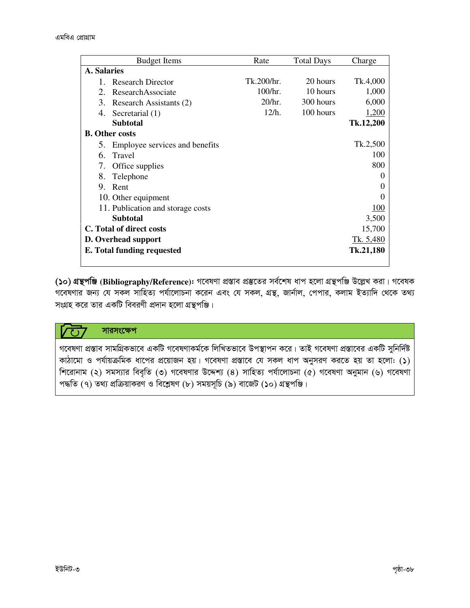|                            | <b>Budget Items</b>               | Rate       | <b>Total Days</b> | Charge       |  |  |  |
|----------------------------|-----------------------------------|------------|-------------------|--------------|--|--|--|
|                            | A. Salaries                       |            |                   |              |  |  |  |
|                            | <b>Research Director</b>          | Tk.200/hr. | 20 hours          | Tk.4,000     |  |  |  |
| 2.                         | ResearchAssociate                 | 100/hr.    | 10 hours          | 1,000        |  |  |  |
| 3.                         | Research Assistants (2)           | 20/hr.     | 300 hours         | 6,000        |  |  |  |
| 4.                         | Secretarial (1)                   | 12/h.      | 100 hours         | <u>1,200</u> |  |  |  |
|                            | <b>Subtotal</b>                   |            |                   | Tk.12,200    |  |  |  |
|                            | <b>B.</b> Other costs             |            |                   |              |  |  |  |
| 5.                         | Employee services and benefits    |            |                   | Tk.2,500     |  |  |  |
| 6.                         | Travel                            |            |                   | 100          |  |  |  |
| 7.                         | Office supplies                   |            |                   | 800          |  |  |  |
| 8.                         | Telephone                         |            |                   |              |  |  |  |
| 9.                         | Rent                              |            |                   |              |  |  |  |
| 10. Other equipment        |                                   |            |                   |              |  |  |  |
|                            | 11. Publication and storage costs |            |                   | 100          |  |  |  |
|                            | <b>Subtotal</b>                   |            |                   | 3,500        |  |  |  |
| C. Total of direct costs   |                                   |            | 15,700            |              |  |  |  |
| D. Overhead support        |                                   |            |                   | Tk. 5,480    |  |  |  |
| E. Total funding requested |                                   |            |                   |              |  |  |  |

(১০) গ্রন্থপঞ্জি (Bibliography/Reference): গবেষণা প্রস্তাব প্রস্তুতের সর্বশেষ ধাপ হলো গ্রন্থপঞ্জি উল্লেখ করা। গবেষক গবেষণার জন্য যে সকল সাহিত্য পর্যালোচনা করেন এবং যে সকল, গ্রন্থ, জার্নাল, পেপার, কলাম ইত্যাদি থেকে তথ্য সংগ্রহ করে তার একটি বিবরণী প্রদান হলো গ্রন্থপঞ্জি।

#### সারসংক্ষেপ できる

গবেষণা প্রস্তাব সামগ্রিকভাবে একটি গবেষণাকর্মকে লিখিতভাবে উপস্থাপন করে। তাই গবেষণা প্রস্তাবের একটি সুনির্দিষ্ট কাঠামো ও পর্যায়ক্রমিক ধাপের প্রয়োজন হয়। গবেষণা প্রস্তাবে যে সকল ধাপ অনুসরণ করতে হয় তা হলো: (১) শিরোনাম (২) সমস্যার বিবৃতি (৩) গবেষণার উদ্দেশ্য (8) সাহিত্য পর্যালোচনা (৫) গবেষণা অনুমান (৬) গবেষণা পদ্ধতি (৭) তথ্য প্রক্রিয়াকরণ ও বিশ্লেষণ (৮) সময়সূচি (৯) বাজেট (১০) গ্রন্থপঞ্জি।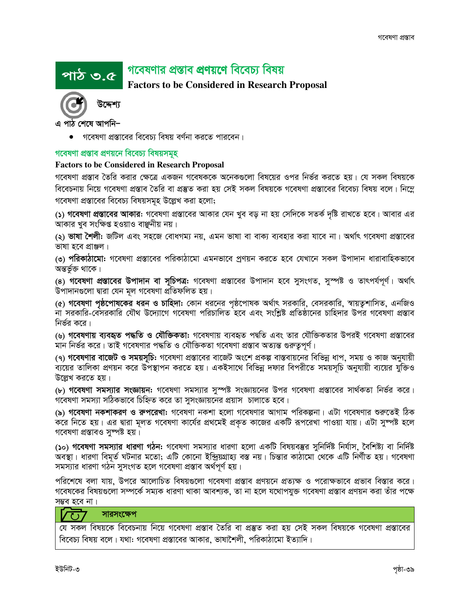# গবেষণার প্রস্তাব প্রণয়ণে বিবেচ্য বিষয়

# **Factors to be Considered in Research Proposal**



এ পাঠ শেষে আপনি–

<u>পাঠ ৩.৫</u>

গবেষণা প্রস্তাবের বিবেচ্য বিষয় বর্ণনা করতে পারবেন।

# গবেষণা প্ৰস্তাব প্ৰণয়নে বিবেচ্য বিষয়সমূহ

# **Factors to be Considered in Research Proposal**

গবেষণা প্রস্তাব তৈরি করার ক্ষেত্রে একজন গবেষককে অনেকগুলো বিষয়ের ওপর নির্ভর করতে হয়। যে সকল বিষয়কে বিবেচনায় নিয়ে গবেষণা প্রস্তাব তৈরি বা প্রস্তুত করা হয় সেই সকল বিষয়কে গবেষণা প্রস্তাবের বিবেচ্য বিষয় বলে। নিম্লে গবেষণা প্রস্তাবের বিবেচ্য বিষয়সমূহ উল্লেখ করা হলো;

(১) গবেষণা প্রস্তাবের আকার: গবেষণা প্রস্তাবের আকার যেন খুব বড় না হয় সেদিকে সতর্ক দৃষ্টি রাখতে হবে। আবার এর আকার খুব সংক্ষিপ্ত হওয়াও বাঞ্জনীয় নয়।

(২) **ভাষা শৈলী:** জটিল এবং সহজে বোধগম্য নয়, এমন ভাষা বা বাক্য ব্যবহার করা যাবে না। অর্থাৎ গবেষণা প্রস্তাবের ভাষা হবে প্ৰাঞ্জল।

(৩) পরিকাঠামো: গবেষণা প্রস্তাবের পরিকাঠামো এমনভাবে প্রণয়ন করতে হবে যেখানে সকল উপাদান ধারাবাহিকভাবে অন্তৰ্ভুক্ত থাকে।

(৪) গবেষণা প্রস্তাবের উপাদান বা সুচিপত্র: গবেষণা প্রস্তাবের উপাদান হবে সুসংগত, সুস্পষ্ট ও তাৎপর্যপূর্ণ। অর্থাৎ উপাদানগুলো দ্বারা যেন মূল গবেষণা প্রতিফলিত হয়।

(৫) গ**বেষণা পৃষ্ঠপোষকের ধরন ও চাহিদা:** কোন ধরনের পৃষ্ঠপোষক অর্থাৎ সরকারি, বেসরকারি, স্বায়তুশাসিত, এনজিও না সরকারি-বেসরকারি যৌথ উদ্যোগে গবেষণা পরিচালিত হবে এবং সংশ্লিষ্ট প্রতিষ্ঠানের চাহিদার উপর গবেষণা প্রস্তাব নির্ভর করে।

(৬) গ**বেষণায় ব্যবহৃত পদ্ধতি ও যৌক্তিকতা:** গবেষণায় ব্যবহৃত পদ্বতি এবং তার যৌক্তিকতার উপরই গবেষণা প্রস্তাবের মান নির্ভর করে। তাই গবেষণার পদ্ধতি ও যৌক্তিকতা গবেষণা প্রস্তাব অত্যন্ত গুরুত্বপূর্ণ।

(৭) গ**বেষণার বাজেট ও সময়সূচি:** গবেষণা প্রস্তাবের বাজেট অংশে প্রকল্প বাস্তবায়নের বিভিন্ন ধাপ, সময় ও কাজ অনুযায়ী ব্যয়ের তালিকা প্রণয়ন করে উপস্থাপন করতে হয়। একইসাথে বিভিন্ন দফার বিপরীতে সময়সূচি অনুযায়ী ব্যয়ের যুক্তিও উল্লেখ করতে হয়।

(৮) গবেষণা সমস্যার সংজ্ঞায়ন: গবেষণা সমস্যার সুস্পষ্ট সংজ্ঞায়নের উপর গবেষণা প্রস্তাবের সার্থকতা নির্ভর করে। গবেষণা সমস্যা সঠিকভাবে চিহ্নিত করে তা সুসংজ্ঞায়নের প্রয়াস চালাতে হবে।

(৯) গবেষণা নকশাকরণ ও রুপরেখা: গবেষণা নকশা হলো গবেষণার আগাম পরিকল্পনা। এটা গবেষণার শুরুতেই ঠিক করে নিতে হয়। এর দ্বারা মূলত গবেষণা কার্যের প্রথমেই প্রকৃত কাজের একটি রূপরেখা পাওয়া যায়। এটা সুষ্পষ্ট হলে গবেষণা প্ৰস্তাবও সম্পষ্ট হয়।

(১০) গ**বেষণা সমস্যার ধারণা গঠন:** গবেষণা সমস্যার ধারণা হলো একটি বিষয়বস্তুর সুনির্দিষ্ট নির্যাস, বৈশিষ্ট্য বা নির্দিষ্ট অবস্থা। ধারণা বিমূর্ত ঘটনার মতো; এটি কোনো ইন্দ্রিয়গ্রাহ্য বস্ত নয়। চিন্তার কাঠামো থেকে এটি নির্ণীত হয়। গবেষণা সমস্যার ধারণা গঠন সুসংগত হলে গবেষণা প্রস্তাব অর্থপূর্ণ হয়।

পরিশেষে বলা যায়, উপরে আলোচিত বিষয়গুলো গবেষণা প্রস্তাব প্রণয়নে প্রত্যক্ষ ও পরোক্ষভাবে প্রভাব বিস্তার করে। গবেষকের বিষয়গুলো সম্পর্কে সম্যক ধারণা থাকা আবশ্যক, তা না হলে যথোপযুক্ত গবেষণা প্রস্তাব প্রণয়ন করা তাঁর পক্ষে সম্ভব হবে না।

#### সারসংক্ষেপ  $\overline{C}$

যে সকল বিষয়কে বিবেচনায় নিয়ে গবেষণা প্রস্তাব তৈরি বা প্রস্তুত করা হয় সেই সকল বিষয়কে গবেষণা প্রস্তাবের বিবেচ্য বিষয় বলে। যথা: গবেষণা প্রস্তাবের আকার, ভাষাশৈলী, পরিকাঠামো ইত্যাদি।